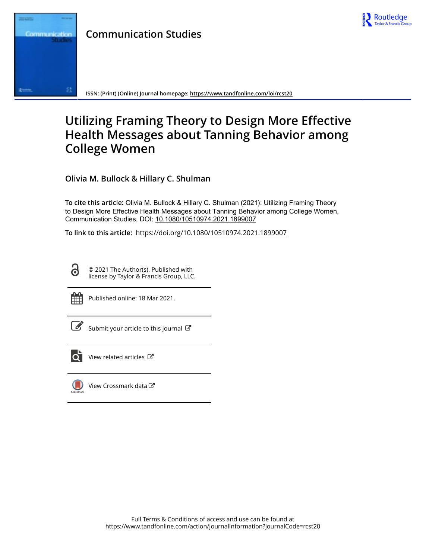



**ISSN: (Print) (Online) Journal homepage:<https://www.tandfonline.com/loi/rcst20>**

# **Utilizing Framing Theory to Design More Effective Health Messages about Tanning Behavior among College Women**

**Olivia M. Bullock & Hillary C. Shulman**

**To cite this article:** Olivia M. Bullock & Hillary C. Shulman (2021): Utilizing Framing Theory to Design More Effective Health Messages about Tanning Behavior among College Women, Communication Studies, DOI: [10.1080/10510974.2021.1899007](https://www.tandfonline.com/action/showCitFormats?doi=10.1080/10510974.2021.1899007)

**To link to this article:** <https://doi.org/10.1080/10510974.2021.1899007>

© 2021 The Author(s). Published with license by Taylor & Francis Group, LLC.



d

Published online: 18 Mar 2021.

[Submit your article to this journal](https://www.tandfonline.com/action/authorSubmission?journalCode=rcst20&show=instructions)  $\mathbb{Z}$ 



 $\overrightarrow{Q}$  [View related articles](https://www.tandfonline.com/doi/mlt/10.1080/10510974.2021.1899007)  $\overrightarrow{C}$ 



[View Crossmark data](http://crossmark.crossref.org/dialog/?doi=10.1080/10510974.2021.1899007&domain=pdf&date_stamp=2021-03-18)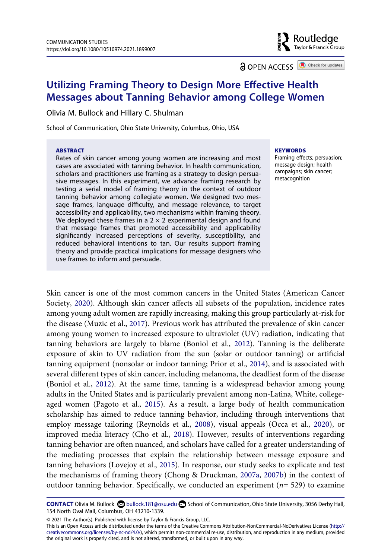$\frac{2}{3}$  Routledge Taylor & Francis Group

**a** OPEN ACCESS **a** Check for updates

# **Utilizing Framing Theory to Design More Effective Health Messages about Tanning Behavior among College Women**

Olivia M. Bullock and Hillary C. Shulman

School of Communication, Ohio State University, Columbus, Ohio, USA

#### **ABSTRACT**

Rates of skin cancer among young women are increasing and most cases are associated with tanning behavior. In health communication, scholars and practitioners use framing as a strategy to design persuasive messages. In this experiment, we advance framing research by testing a serial model of framing theory in the context of outdoor tanning behavior among collegiate women. We designed two message frames, language difficulty, and message relevance, to target accessibility and applicability, two mechanisms within framing theory. We deployed these frames in a  $2 \times 2$  experimental design and found that message frames that promoted accessibility and applicability significantly increased perceptions of severity, susceptibility, and reduced behavioral intentions to tan. Our results support framing theory and provide practical implications for message designers who use frames to inform and persuade.

#### **KEYWORDS**

Framing effects; persuasion; message design; health campaigns; skin cancer; metacognition

<span id="page-1-8"></span><span id="page-1-5"></span><span id="page-1-1"></span><span id="page-1-0"></span>Skin cancer is one of the most common cancers in the United States (American Cancer Society, [2020](#page-12-0)). Although skin cancer affects all subsets of the population, incidence rates among young adult women are rapidly increasing, making this group particularly at-risk for the disease (Muzic et al., [2017\)](#page-14-0). Previous work has attributed the prevalence of skin cancer among young women to increased exposure to ultraviolet (UV) radiation, indicating that tanning behaviors are largely to blame (Boniol et al., [2012](#page-13-0)). Tanning is the deliberate exposure of skin to UV radiation from the sun (solar or outdoor tanning) or artificial tanning equipment (nonsolar or indoor tanning; Prior et al., [2014\)](#page-14-1), and is associated with several different types of skin cancer, including melanoma, the deadliest form of the disease (Boniol et al., [2012](#page-13-0)). At the same time, tanning is a widespread behavior among young adults in the United States and is particularly prevalent among non-Latina, White, collegeaged women (Pagoto et al., [2015\)](#page-14-2). As a result, a large body of health communication scholarship has aimed to reduce tanning behavior, including through interventions that employ message tailoring (Reynolds et al., [2008](#page-14-3)), visual appeals (Occa et al., [2020](#page-14-4)), or improved media literacy (Cho et al., [2018](#page-13-1)). However, results of interventions regarding tanning behavior are often nuanced, and scholars have called for a greater understanding of the mediating processes that explain the relationship between message exposure and tanning behaviors (Lovejoy et al., [2015\)](#page-14-5). In response, our study seeks to explicate and test the mechanisms of framing theory (Chong & Druckman, [2007a](#page-13-2), [2007b\)](#page-13-3) in the context of outdoor tanning behavior. Specifically, we conducted an experiment (*n*= 529) to examine

<span id="page-1-7"></span><span id="page-1-6"></span><span id="page-1-4"></span><span id="page-1-3"></span><span id="page-1-2"></span>**CONTACT** Olivia M. Bullock **CO** bullock.181@osu.edu **S** School of Communication, Ohio State University, 3056 Derby Hall, 154 North Oval Mall, Columbus, OH 43210-1339.

<sup>© 2021</sup> The Author(s). Published with license by Taylor & Francis Group, LLC.

This is an Open Access article distributed under the terms of the Creative Commons Attribution-NonCommercial-NoDerivatives License (http:// creativecommons.org/licenses/by-nc-nd/4.0/), which permits non-commercial re-use, distribution, and reproduction in any medium, provided the original work is properly cited, and is not altered, transformed, or built upon in any way.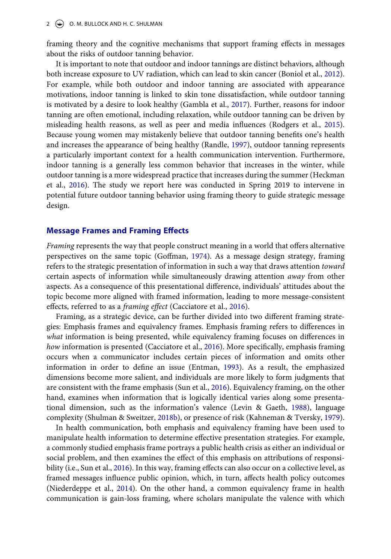framing theory and the cognitive mechanisms that support framing effects in messages about the risks of outdoor tanning behavior.

<span id="page-2-9"></span><span id="page-2-8"></span><span id="page-2-2"></span>It is important to note that outdoor and indoor tannings are distinct behaviors, although both increase exposure to UV radiation, which can lead to skin cancer (Boniol et al., [2012](#page-13-0)). For example, while both outdoor and indoor tanning are associated with appearance motivations, indoor tanning is linked to skin tone dissatisfaction, while outdoor tanning is motivated by a desire to look healthy (Gambla et al., [2017](#page-13-4)). Further, reasons for indoor tanning are often emotional, including relaxation, while outdoor tanning can be driven by misleading health reasons, as well as peer and media influences (Rodgers et al., [2015](#page-14-6)). Because young women may mistakenly believe that outdoor tanning benefits one's health and increases the appearance of being healthy (Randle, [1997](#page-14-7)), outdoor tanning represents a particularly important context for a health communication intervention. Furthermore, indoor tanning is a generally less common behavior that increases in the winter, while outdoor tanning is a more widespread practice that increases during the summer (Heckman et al., [2016](#page-13-5)). The study we report here was conducted in Spring 2019 to intervene in potential future outdoor tanning behavior using framing theory to guide strategic message design.

#### <span id="page-2-4"></span>**Message Frames and Framing Effects**

<span id="page-2-3"></span>*Framing* represents the way that people construct meaning in a world that offers alternative perspectives on the same topic (Goffman, [1974\)](#page-13-6). As a message design strategy, framing refers to the strategic presentation of information in such a way that draws attention *toward*  certain aspects of information while simultaneously drawing attention *away* from other aspects. As a consequence of this presentational difference, individuals' attitudes about the topic become more aligned with framed information, leading to more message-consistent effects, referred to as a *framing effect* (Cacciatore et al., [2016\)](#page-13-7).

<span id="page-2-1"></span><span id="page-2-0"></span>Framing, as a strategic device, can be further divided into two different framing strategies: Emphasis frames and equivalency frames. Emphasis framing refers to differences in *what* information is being presented, while equivalency framing focuses on differences in *how* information is presented (Cacciatore et al., [2016](#page-13-7)). More specifically, emphasis framing occurs when a communicator includes certain pieces of information and omits other information in order to define an issue (Entman, [1993](#page-13-8)). As a result, the emphasized dimensions become more salient, and individuals are more likely to form judgments that are consistent with the frame emphasis (Sun et al., [2016](#page-15-0)). Equivalency framing, on the other hand, examines when information that is logically identical varies along some presentational dimension, such as the information's valence (Levin & Gaeth, [1988\)](#page-13-9), language complexity (Shulman & Sweitzer, [2018b\)](#page-14-8), or presence of risk (Kahneman & Tversky, [1979](#page-13-10)).

<span id="page-2-10"></span><span id="page-2-7"></span><span id="page-2-6"></span><span id="page-2-5"></span>In health communication, both emphasis and equivalency framing have been used to manipulate health information to determine effective presentation strategies. For example, a commonly studied emphasis frame portrays a public health crisis as either an individual or social problem, and then examines the effect of this emphasis on attributions of responsibility (i.e., Sun et al., [2016\)](#page-15-0). In this way, framing effects can also occur on a collective level, as framed messages influence public opinion, which, in turn, affects health policy outcomes (Niederdeppe et al., [2014\)](#page-14-9). On the other hand, a common equivalency frame in health communication is gain-loss framing, where scholars manipulate the valence with which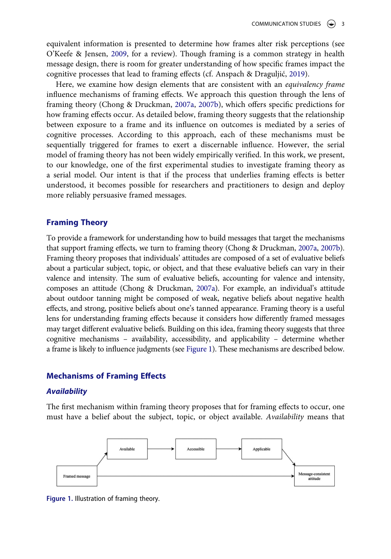<span id="page-3-2"></span>equivalent information is presented to determine how frames alter risk perceptions (see O'Keefe & Jensen, [2009](#page-14-10), for a review). Though framing is a common strategy in health message design, there is room for greater understanding of how specific frames impact the cognitive processes that lead to framing effects (cf. Anspach & Draguljić, [2019\)](#page-12-1).

<span id="page-3-1"></span>Here, we examine how design elements that are consistent with an *equivalency frame*  influence mechanisms of framing effects. We approach this question through the lens of framing theory (Chong & Druckman, [2007a](#page-13-2), [2007b](#page-13-3)), which offers specific predictions for how framing effects occur. As detailed below, framing theory suggests that the relationship between exposure to a frame and its influence on outcomes is mediated by a series of cognitive processes. According to this approach, each of these mechanisms must be sequentially triggered for frames to exert a discernable influence. However, the serial model of framing theory has not been widely empirically verified. In this work, we present, to our knowledge, one of the first experimental studies to investigate framing theory as a serial model. Our intent is that if the process that underlies framing effects is better understood, it becomes possible for researchers and practitioners to design and deploy more reliably persuasive framed messages.

# **Framing Theory**

To provide a framework for understanding how to build messages that target the mechanisms that support framing effects, we turn to framing theory (Chong & Druckman, [2007a](#page-13-2), [2007b](#page-13-3)). Framing theory proposes that individuals' attitudes are composed of a set of evaluative beliefs about a particular subject, topic, or object, and that these evaluative beliefs can vary in their valence and intensity. The sum of evaluative beliefs, accounting for valence and intensity, composes an attitude (Chong & Druckman, [2007a](#page-13-2)). For example, an individual's attitude about outdoor tanning might be composed of weak, negative beliefs about negative health effects, and strong, positive beliefs about one's tanned appearance. Framing theory is a useful lens for understanding framing effects because it considers how differently framed messages may target different evaluative beliefs. Building on this idea, framing theory suggests that three cognitive mechanisms – availability, accessibility, and applicability – determine whether a frame is likely to influence judgments (see [Figure 1\)](#page-3-0). These mechanisms are described below.

### **Mechanisms of Framing Effects**

#### *Availability*

The first mechanism within framing theory proposes that for framing effects to occur, one must have a belief about the subject, topic, or object available. *Availability* means that

<span id="page-3-0"></span>

**Figure 1.** Illustration of framing theory.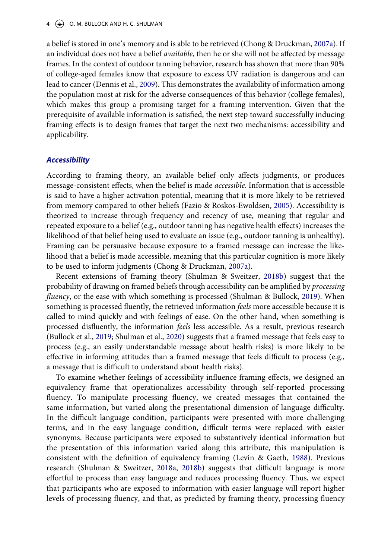<span id="page-4-1"></span>a belief is stored in one's memory and is able to be retrieved (Chong & Druckman, [2007a](#page-13-2)). If an individual does not have a belief *available*, then he or she will not be affected by message frames. In the context of outdoor tanning behavior, research has shown that more than 90% of college-aged females know that exposure to excess UV radiation is dangerous and can lead to cancer (Dennis et al., [2009\)](#page-13-11). This demonstrates the availability of information among the population most at risk for the adverse consequences of this behavior (college females), which makes this group a promising target for a framing intervention. Given that the prerequisite of available information is satisfied, the next step toward successfully inducing framing effects is to design frames that target the next two mechanisms: accessibility and applicability.

#### *Accessibility*

<span id="page-4-2"></span>According to framing theory, an available belief only affects judgments, or produces message-consistent effects, when the belief is made *accessible*. Information that is accessible is said to have a higher activation potential, meaning that it is more likely to be retrieved from memory compared to other beliefs (Fazio & Roskos-Ewoldsen, [2005](#page-13-12)). Accessibility is theorized to increase through frequency and recency of use, meaning that regular and repeated exposure to a belief (e.g., outdoor tanning has negative health effects) increases the likelihood of that belief being used to evaluate an issue (e.g., outdoor tanning is unhealthy). Framing can be persuasive because exposure to a framed message can increase the likelihood that a belief is made accessible, meaning that this particular cognition is more likely to be used to inform judgments (Chong & Druckman, [2007a\)](#page-13-2).

<span id="page-4-3"></span>Recent extensions of framing theory (Shulman & Sweitzer, [2018b](#page-14-8)) suggest that the probability of drawing on framed beliefs through accessibility can be amplified by *processing fluency*, or the ease with which something is processed (Shulman & Bullock, [2019](#page-14-11)). When something is processed fluently, the retrieved information *feels* more accessible because it is called to mind quickly and with feelings of ease. On the other hand, when something is processed disfluently, the information *feels* less accessible. As a result, previous research (Bullock et al., [2019;](#page-13-13) Shulman et al., [2020](#page-14-12)) suggests that a framed message that feels easy to process (e.g., an easily understandable message about health risks) is more likely to be effective in informing attitudes than a framed message that feels difficult to process (e.g., a message that is difficult to understand about health risks).

<span id="page-4-4"></span><span id="page-4-0"></span>To examine whether feelings of accessibility influence framing effects, we designed an equivalency frame that operationalizes accessibility through self-reported processing fluency. To manipulate processing fluency, we created messages that contained the same information, but varied along the presentational dimension of language difficulty. In the difficult language condition, participants were presented with more challenging terms, and in the easy language condition, difficult terms were replaced with easier synonyms. Because participants were exposed to substantively identical information but the presentation of this information varied along this attribute, this manipulation is consistent with the definition of equivalency framing (Levin & Gaeth, [1988\)](#page-13-9). Previous research (Shulman & Sweitzer, [2018a](#page-14-13), [2018b](#page-14-8)) suggests that difficult language is more effortful to process than easy language and reduces processing fluency. Thus, we expect that participants who are exposed to information with easier language will report higher levels of processing fluency, and that, as predicted by framing theory, processing fluency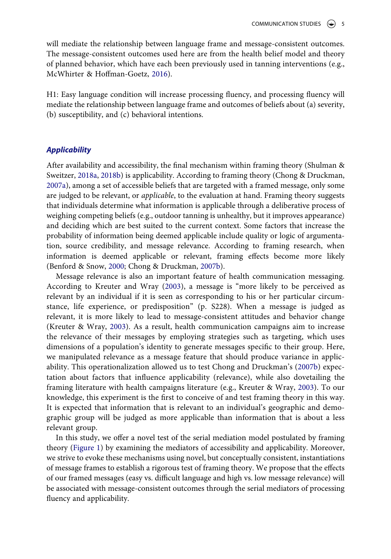will mediate the relationship between language frame and message-consistent outcomes. The message-consistent outcomes used here are from the health belief model and theory of planned behavior, which have each been previously used in tanning interventions (e.g., McWhirter & Hoffman-Goetz, [2016](#page-14-14)).

<span id="page-5-2"></span>H1: Easy language condition will increase processing fluency, and processing fluency will mediate the relationship between language frame and outcomes of beliefs about (a) severity, (b) susceptibility, and (c) behavioral intentions.

#### *Applicability*

After availability and accessibility, the final mechanism within framing theory (Shulman & Sweitzer, [2018a](#page-14-13), [2018b](#page-14-8)) is applicability. According to framing theory (Chong & Druckman, [2007a\)](#page-13-2), among a set of accessible beliefs that are targeted with a framed message, only some are judged to be relevant, or *applicable*, to the evaluation at hand. Framing theory suggests that individuals determine what information is applicable through a deliberative process of weighing competing beliefs (e.g., outdoor tanning is unhealthy, but it improves appearance) and deciding which are best suited to the current context. Some factors that increase the probability of information being deemed applicable include quality or logic of argumentation, source credibility, and message relevance. According to framing research, when information is deemed applicable or relevant, framing effects become more likely (Benford & Snow, [2000](#page-12-2); Chong & Druckman, [2007b\)](#page-13-3).

<span id="page-5-0"></span>Message relevance is also an important feature of health communication messaging. According to Kreuter and Wray ([2003](#page-13-14)), a message is "more likely to be perceived as relevant by an individual if it is seen as corresponding to his or her particular circumstance, life experience, or predisposition" (p. S228). When a message is judged as relevant, it is more likely to lead to message-consistent attitudes and behavior change (Kreuter & Wray, [2003](#page-13-14)). As a result, health communication campaigns aim to increase the relevance of their messages by employing strategies such as targeting, which uses dimensions of a population's identity to generate messages specific to their group. Here, we manipulated relevance as a message feature that should produce variance in applicability. This operationalization allowed us to test Chong and Druckman's ([2007b\)](#page-13-3) expectation about factors that influence applicability (relevance), while also dovetailing the framing literature with health campaigns literature (e.g., Kreuter & Wray, [2003\)](#page-13-14). To our knowledge, this experiment is the first to conceive of and test framing theory in this way. It is expected that information that is relevant to an individual's geographic and demographic group will be judged as more applicable than information that is about a less relevant group.

<span id="page-5-1"></span>In this study, we offer a novel test of the serial mediation model postulated by framing theory [\(Figure 1](#page-3-0)) by examining the mediators of accessibility and applicability. Moreover, we strive to evoke these mechanisms using novel, but conceptually consistent, instantiations of message frames to establish a rigorous test of framing theory. We propose that the effects of our framed messages (easy vs. difficult language and high vs. low message relevance) will be associated with message-consistent outcomes through the serial mediators of processing fluency and applicability.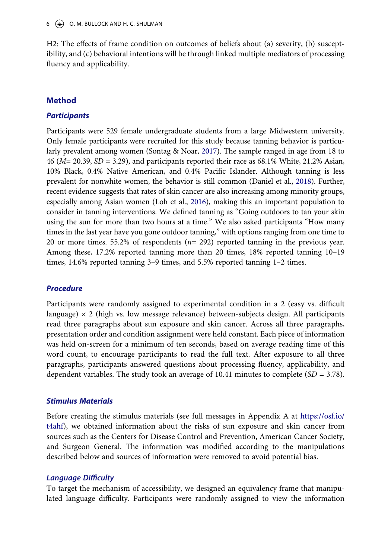H2: The effects of frame condition on outcomes of beliefs about (a) severity, (b) susceptibility, and (c) behavioral intentions will be through linked multiple mediators of processing fluency and applicability.

# **Method**

# *Participants*

<span id="page-6-2"></span><span id="page-6-1"></span><span id="page-6-0"></span>Participants were 529 female undergraduate students from a large Midwestern university. Only female participants were recruited for this study because tanning behavior is particularly prevalent among women (Sontag & Noar, [2017\)](#page-15-1). The sample ranged in age from 18 to 46 (*M*= 20.39, *SD* = 3.29), and participants reported their race as 68.1% White, 21.2% Asian, 10% Black, 0.4% Native American, and 0.4% Pacific Islander. Although tanning is less prevalent for nonwhite women, the behavior is still common (Daniel et al., [2018](#page-13-15)). Further, recent evidence suggests that rates of skin cancer are also increasing among minority groups, especially among Asian women (Loh et al., [2016](#page-13-16)), making this an important population to consider in tanning interventions. We defined tanning as "Going outdoors to tan your skin using the sun for more than two hours at a time." We also asked participants "How many times in the last year have you gone outdoor tanning," with options ranging from one time to 20 or more times. 55.2% of respondents (*n*= 292) reported tanning in the previous year. Among these, 17.2% reported tanning more than 20 times, 18% reported tanning 10–19 times, 14.6% reported tanning 3–9 times, and 5.5% reported tanning 1–2 times.

## *Procedure*

Participants were randomly assigned to experimental condition in a 2 (easy vs. difficult language)  $\times$  2 (high vs. low message relevance) between-subjects design. All participants read three paragraphs about sun exposure and skin cancer. Across all three paragraphs, presentation order and condition assignment were held constant. Each piece of information was held on-screen for a minimum of ten seconds, based on average reading time of this word count, to encourage participants to read the full text. After exposure to all three paragraphs, participants answered questions about processing fluency, applicability, and dependent variables. The study took an average of 10.41 minutes to complete (*SD* = 3.78).

# *Stimulus Materials*

Before creating the stimulus materials (see full messages in Appendix A at [https://osf.io/](https://osf.io/t4ahf) [t4ahf\)](https://osf.io/t4ahf), we obtained information about the risks of sun exposure and skin cancer from sources such as the Centers for Disease Control and Prevention, American Cancer Society, and Surgeon General. The information was modified according to the manipulations described below and sources of information were removed to avoid potential bias.

# *Language Difficulty*

To target the mechanism of accessibility, we designed an equivalency frame that manipulated language difficulty. Participants were randomly assigned to view the information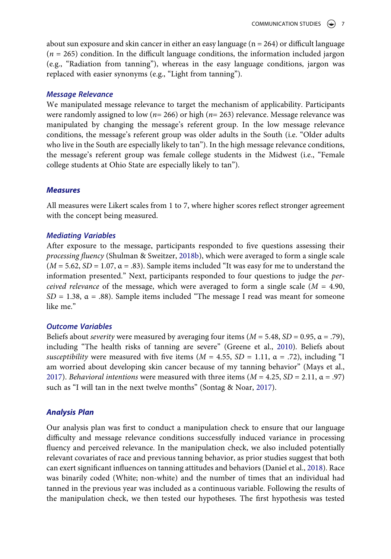about sun exposure and skin cancer in either an easy language ( $n = 264$ ) or difficult language  $(n = 265)$  condition. In the difficult language conditions, the information included jargon (e.g., "Radiation from tanning"), whereas in the easy language conditions, jargon was replaced with easier synonyms (e.g., "Light from tanning").

#### *Message Relevance*

We manipulated message relevance to target the mechanism of applicability. Participants were randomly assigned to low (*n*= 266) or high (*n*= 263) relevance. Message relevance was manipulated by changing the message's referent group. In the low message relevance conditions, the message's referent group was older adults in the South (i.e. "Older adults who live in the South are especially likely to tan"). In the high message relevance conditions, the message's referent group was female college students in the Midwest (i.e., "Female college students at Ohio State are especially likely to tan").

#### *Measures*

All measures were Likert scales from 1 to 7, where higher scores reflect stronger agreement with the concept being measured.

#### *Mediating Variables*

After exposure to the message, participants responded to five questions assessing their *processing fluency* (Shulman & Sweitzer, [2018b](#page-14-8)), which were averaged to form a single scale  $(M = 5.62, SD = 1.07, \alpha = .83)$ . Sample items included "It was easy for me to understand the information presented." Next, participants responded to four questions to judge the *perceived relevance* of the message, which were averaged to form a single scale ( $M = 4.90$ , *SD* = 1.38,  $\alpha$  = .88). Sample items included "The message I read was meant for someone like me."

#### *Outcome Variables*

<span id="page-7-1"></span><span id="page-7-0"></span>Beliefs about *severity* were measured by averaging four items  $(M = 5.48, SD = 0.95, \alpha = .79)$ , including "The health risks of tanning are severe" (Greene et al., [2010](#page-13-17)). Beliefs about *susceptibility* were measured with five items  $(M = 4.55, SD = 1.11, \alpha = .72)$ , including "I am worried about developing skin cancer because of my tanning behavior" (Mays et al., [2017](#page-14-15)). *Behavioral intentions* were measured with three items  $(M = 4.25, SD = 2.11, \alpha = .97)$ such as "I will tan in the next twelve months" (Sontag & Noar, [2017\)](#page-15-1).

## *Analysis Plan*

Our analysis plan was first to conduct a manipulation check to ensure that our language difficulty and message relevance conditions successfully induced variance in processing fluency and perceived relevance. In the manipulation check, we also included potentially relevant covariates of race and previous tanning behavior, as prior studies suggest that both can exert significant influences on tanning attitudes and behaviors (Daniel et al., [2018](#page-13-15)). Race was binarily coded (White; non-white) and the number of times that an individual had tanned in the previous year was included as a continuous variable. Following the results of the manipulation check, we then tested our hypotheses. The first hypothesis was tested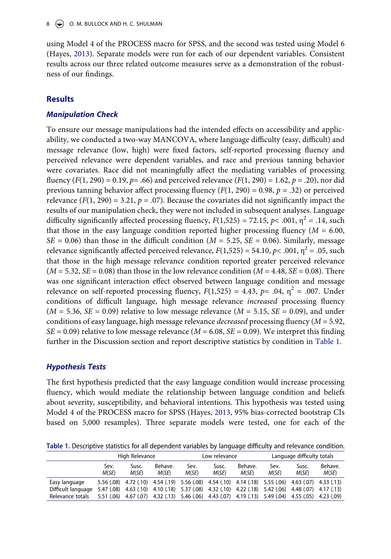using Model 4 of the PROCESS macro for SPSS, and the second was tested using Model 6 (Hayes, [2013](#page-13-18)). Separate models were run for each of our dependent variables. Consistent results across our three related outcome measures serve as a demonstration of the robustness of our findings.

# **Results**

# *Manipulation Check*

To ensure our message manipulations had the intended effects on accessibility and applicability, we conducted a two-way MANCOVA, where language difficulty (easy, difficult) and message relevance (low, high) were fixed factors, self-reported processing fluency and perceived relevance were dependent variables, and race and previous tanning behavior were covariates. Race did not meaningfully affect the mediating variables of processing fluency  $(F(1, 290) = 0.19, p = .66)$  and perceived relevance  $(F(1, 290) = 1.62, p = .20)$ , nor did previous tanning behavior affect processing fluency (*F*(1, 290) = 0.98, *p* = .32) or perceived relevance  $(F(1, 290) = 3.21, p = .07)$ . Because the covariates did not significantly impact the results of our manipulation check, they were not included in subsequent analyses. Language difficulty significantly affected processing fluency,  $F(1,525) = 72.15$ ,  $p < .001$ ,  $\eta^2 = .14$ , such that those in the easy language condition reported higher processing fluency  $(M = 6.00,$  $SE = 0.06$ ) than those in the difficult condition ( $M = 5.25$ ,  $SE = 0.06$ ). Similarly, message relevance significantly affected perceived relevance,  $F(1,525) = 54.10$ ,  $p < .001$ ,  $n^2 = .05$ , such that those in the high message relevance condition reported greater perceived relevance  $(M = 5.32, SE = 0.08)$  than those in the low relevance condition  $(M = 4.48, SE = 0.08)$ . There was one significant interaction effect observed between language condition and message relevance on self-reported processing fluency,  $F(1,525) = 4.43$ ,  $p = .04$ ,  $n^2 = .007$ . Under conditions of difficult language, high message relevance *increased* processing fluency  $(M = 5.36, SE = 0.09)$  relative to low message relevance  $(M = 5.15, SE = 0.09)$ , and under conditions of easy language, high message relevance *decreased* processing fluency (*M* = 5.92, *SE* = 0.09) relative to low message relevance (*M* = 6.08, *SE* = 0.09). We interpret this finding further in the Discussion section and report descriptive statistics by condition in [Table 1.](#page-8-0)

# *Hypothesis Tests*

<span id="page-8-1"></span>The first hypothesis predicted that the easy language condition would increase processing fluency, which would mediate the relationship between language condition and beliefs about severity, susceptibility, and behavioral intentions. This hypothesis was tested using Model 4 of the PROCESS macro for SPSS (Hayes, [2013,](#page-13-18) 95% bias-corrected bootstrap CIs based on 5,000 resamples). Three separate models were tested, one for each of the

<span id="page-8-0"></span>**Table 1.** Descriptive statistics for all dependent variables by language difficulty and relevance condition.

|                    | High Relevance |                                                                                                    |                  | Low relevance |                |                                                        | Language difficulty totals |                |                  |
|--------------------|----------------|----------------------------------------------------------------------------------------------------|------------------|---------------|----------------|--------------------------------------------------------|----------------------------|----------------|------------------|
|                    | Sev.<br>M(SE)  | Susc.<br>M(SE)                                                                                     | Behave.<br>M(SE) | Sev.<br>M(SE) | Susc.<br>M(SE) | Behave.<br>M(SE)                                       | Sev.<br>M(SE)              | Susc.<br>M(SE) | Behave.<br>M(SE) |
| Easy language      |                | 5.56 (.08) 4.72 (.10) 4.54 (.19) 5.56 (.08) 4.54 (.10) 4.14 (.18) 5.55 (.06) 4.63 (.07) 4.33 (.13) |                  |               |                |                                                        |                            |                |                  |
| Difficult language |                | 5.47 (.08) 4.63 (.10) 4.10 (.18) 5.37 (.08) 4.32 (.10) 4.22 (.18) 5.42 (.06) 4.48 (.07) 4.17 (.13) |                  |               |                |                                                        |                            |                |                  |
| Relevance totals   | 5.51 (.06)     | 4.67 (.07)                                                                                         |                  |               |                | 4.32 (.13) 5.46 (.06) 4.43 (.07) 4.19 (.13) 5.49 (.04) |                            | 4.55 (.05)     | 4.23 (.09)       |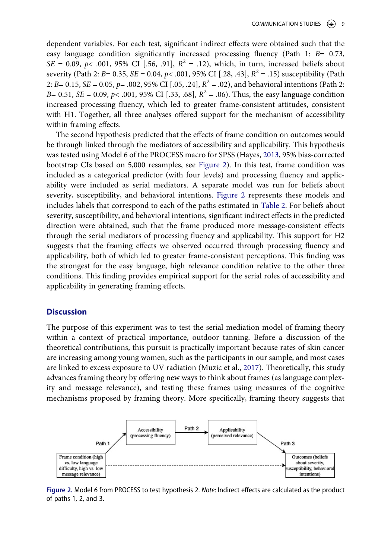dependent variables. For each test, significant indirect effects were obtained such that the easy language condition significantly increased processing fluency (Path 1: *B*= 0.73, *SE* = 0.09,  $p$ < .001, 95% CI [.56, .91],  $R^2$  = .12), which, in turn, increased beliefs about severity (Path 2:  $B = 0.35$ ,  $SE = 0.04$ ,  $p < .001$ , 95% CI [.28, .43],  $R^2 = .15$ ) susceptibility (Path 2: *B*= 0.15, *SE* = 0.05, *p*= .002, 95% CI [.05, .24], *R*2 = .02), and behavioral intentions (Path 2: *B*= 0.51, *SE* = 0.09, *p*< .001, 95% CI [.33, .68],  $R^2$  = .06). Thus, the easy language condition increased processing fluency, which led to greater frame-consistent attitudes, consistent with H1. Together, all three analyses offered support for the mechanism of accessibility within framing effects.

The second hypothesis predicted that the effects of frame condition on outcomes would be through linked through the mediators of accessibility and applicability. This hypothesis was tested using Model 6 of the PROCESS macro for SPSS (Hayes, [2013](#page-13-18), 95% bias-corrected bootstrap CIs based on 5,000 resamples, see [Figure 2](#page-9-0)). In this test, frame condition was included as a categorical predictor (with four levels) and processing fluency and applicability were included as serial mediators. A separate model was run for beliefs about severity, susceptibility, and behavioral intentions. [Figure 2](#page-9-0) represents these models and includes labels that correspond to each of the paths estimated in [Table 2.](#page-10-0) For beliefs about severity, susceptibility, and behavioral intentions, significant indirect effects in the predicted direction were obtained, such that the frame produced more message-consistent effects through the serial mediators of processing fluency and applicability. This support for H2 suggests that the framing effects we observed occurred through processing fluency and applicability, both of which led to greater frame-consistent perceptions. This finding was the strongest for the easy language, high relevance condition relative to the other three conditions. This finding provides empirical support for the serial roles of accessibility and applicability in generating framing effects.

#### **Discussion**

The purpose of this experiment was to test the serial mediation model of framing theory within a context of practical importance, outdoor tanning. Before a discussion of the theoretical contributions, this pursuit is practically important because rates of skin cancer are increasing among young women, such as the participants in our sample, and most cases are linked to excess exposure to UV radiation (Muzic et al., [2017\)](#page-14-0). Theoretically, this study advances framing theory by offering new ways to think about frames (as language complexity and message relevance), and testing these frames using measures of the cognitive mechanisms proposed by framing theory. More specifically, framing theory suggests that

<span id="page-9-0"></span>

**Figure 2.** Model 6 from PROCESS to test hypothesis 2. *Note*: Indirect effects are calculated as the product of paths 1, 2, and 3.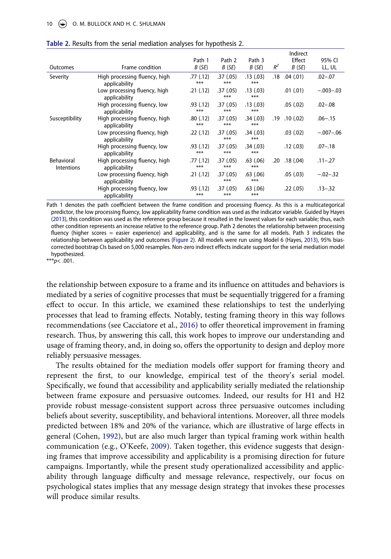<span id="page-10-0"></span>

| Table 2. Results from the serial mediation analyses for hypothesis 2. |  |  |  |  |
|-----------------------------------------------------------------------|--|--|--|--|
|-----------------------------------------------------------------------|--|--|--|--|

|                                 |                                                |                  |                  |                      |       | Indirect  |             |
|---------------------------------|------------------------------------------------|------------------|------------------|----------------------|-------|-----------|-------------|
|                                 |                                                | Path 1           | Path 2           | Path 3               |       | Effect    | 95% CI      |
| Outcomes                        | Frame condition                                | B(SE)            | B(SE)            | B(SE)                | $R^2$ | B(SE)     | LL, UL      |
| Severity                        | High processing fluency, high<br>applicability | .77(.12)<br>***  | .37(.05)<br>***  | .13(0.03)<br>***     | .18   | .04(.01)  | $.02 - .07$ |
|                                 | Low processing fluency, high<br>applicability  | .21(.12)         | .37(.05)<br>***  | .13(0.03)<br>***     |       | .01(.01)  | $-.003-.03$ |
|                                 | High processing fluency, low<br>applicability  | .93 (.12)<br>*** | .37(.05)<br>***  | .13(0.03)<br>***     |       | .05(.02)  | $.02 - .08$ |
| Susceptibility                  | High processing fluency, high<br>applicability | .80(.12)<br>***  | .37(.05)<br>***  | .34(.03)<br>***      | .19   | .10(0.02) | $.06 - .15$ |
|                                 | Low processing fluency, high<br>applicability  | .22(.12)         | .37(.05)<br>***  | .34(.03)<br>***      |       | .03(.02)  | $-.007-.06$ |
|                                 | High processing fluency, low<br>applicability  | .93(0.12)<br>*** | .37(.05)<br>***  | .34(.03)<br>***      |       | .12(.03)  | $.07 - .18$ |
| Behavioral<br><b>Intentions</b> | High processing fluency, high<br>applicability | .77 (.12)<br>*** | .37(.05)<br>***  | $.63$ $(.06)$<br>*** | .20   | .18(0.04) | $.11 - .27$ |
|                                 | Low processing fluency, high<br>applicability  | .21(.12)         | .37(.05)<br>***  | .63(.06)<br>***      |       | .05(.03)  | $-.02-.32$  |
|                                 | High processing fluency, low<br>applicability  | .93(0.12)<br>*** | .37(0.05)<br>*** | .63(.06)<br>***      |       | .22(.05)  | $.13 - .32$ |

Path 1 denotes the path coefficient between the frame condition and processing fluency. As this is a multicategorical predictor, the low processing fluency, low applicability frame condition was used as the indicator variable. Guided by Hayes [\(2013](#page-13-18)), this condition was used as the reference group because it resulted in the lowest values for each variable; thus, each other condition represents an increase relative to the reference group. Path 2 denotes the relationship between processing fluency (higher scores = easier experience) and applicability, and is the same for all models. Path 3 indicates the relationship between applicability and outcomes [\(Figure 2\)](#page-9-0). All models were run using Model 6 (Hayes, [2013](#page-13-18)), 95% biascorrected bootstrap CIs based on 5,000 resamples. Non-zero indirect effects indicate support for the serial mediation model hypothesized.

\*\*\**p*< .001.

the relationship between exposure to a frame and its influence on attitudes and behaviors is mediated by a series of cognitive processes that must be sequentially triggered for a framing effect to occur. In this article, we examined these relationships to test the underlying processes that lead to framing effects. Notably, testing framing theory in this way follows recommendations (see Cacciatore et al., [2016](#page-13-7)) to offer theoretical improvement in framing research. Thus, by answering this call, this work hopes to improve our understanding and usage of framing theory, and, in doing so, offers the opportunity to design and deploy more reliably persuasive messages.

<span id="page-10-2"></span><span id="page-10-1"></span>The results obtained for the mediation models offer support for framing theory and represent the first, to our knowledge, empirical test of the theory's serial model. Specifically, we found that accessibility and applicability serially mediated the relationship between frame exposure and persuasive outcomes. Indeed, our results for H1 and H2 provide robust message-consistent support across three persuasive outcomes including beliefs about severity, susceptibility, and behavioral intentions. Moreover, all three models predicted between 18% and 20% of the variance, which are illustrative of large effects in general (Cohen, [1992](#page-13-19)), but are also much larger than typical framing work within health communication (e.g., O'Keefe, [2009\)](#page-14-16). Taken together, this evidence suggests that designing frames that improve accessibility and applicability is a promising direction for future campaigns. Importantly, while the present study operationalized accessibility and applicability through language difficulty and message relevance, respectively, our focus on psychological states implies that any message design strategy that invokes these processes will produce similar results.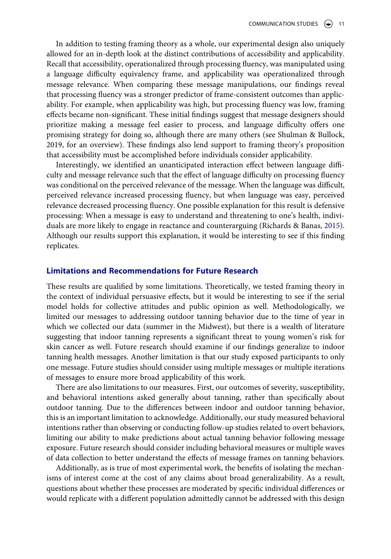In addition to testing framing theory as a whole, our experimental design also uniquely allowed for an in-depth look at the distinct contributions of accessibility and applicability. Recall that accessibility, operationalized through processing fluency, was manipulated using a language difficulty equivalency frame, and applicability was operationalized through message relevance. When comparing these message manipulations, our findings reveal that processing fluency was a stronger predictor of frame-consistent outcomes than applicability. For example, when applicability was high, but processing fluency was low, framing effects became non-significant. These initial findings suggest that message designers should prioritize making a message feel easier to process, and language difficulty offers one promising strategy for doing so, although there are many others (see Shulman & Bullock, 2019, for an overview). These findings also lend support to framing theory's proposition that accessibility must be accomplished before individuals consider applicability.

Interestingly, we identified an unanticipated interaction effect between language difficulty and message relevance such that the effect of language difficulty on processing fluency was conditional on the perceived relevance of the message. When the language was difficult, perceived relevance increased processing fluency, but when language was easy, perceived relevance decreased processing fluency. One possible explanation for this result is defensive processing: When a message is easy to understand and threatening to one's health, individuals are more likely to engage in reactance and counterarguing (Richards & Banas, [2015](#page-14-17)). Although our results support this explanation, it would be interesting to see if this finding replicates.

#### <span id="page-11-0"></span>**Limitations and Recommendations for Future Research**

These results are qualified by some limitations. Theoretically, we tested framing theory in the context of individual persuasive effects, but it would be interesting to see if the serial model holds for collective attitudes and public opinion as well. Methodologically, we limited our messages to addressing outdoor tanning behavior due to the time of year in which we collected our data (summer in the Midwest), but there is a wealth of literature suggesting that indoor tanning represents a significant threat to young women's risk for skin cancer as well. Future research should examine if our findings generalize to indoor tanning health messages. Another limitation is that our study exposed participants to only one message. Future studies should consider using multiple messages or multiple iterations of messages to ensure more broad applicability of this work.

There are also limitations to our measures. First, our outcomes of severity, susceptibility, and behavioral intentions asked generally about tanning, rather than specifically about outdoor tanning. Due to the differences between indoor and outdoor tanning behavior, this is an important limitation to acknowledge. Additionally, our study measured behavioral intentions rather than observing or conducting follow-up studies related to overt behaviors, limiting our ability to make predictions about actual tanning behavior following message exposure. Future research should consider including behavioral measures or multiple waves of data collection to better understand the effects of message frames on tanning behaviors.

Additionally, as is true of most experimental work, the benefits of isolating the mechanisms of interest come at the cost of any claims about broad generalizability. As a result, questions about whether these processes are moderated by specific individual differences or would replicate with a different population admittedly cannot be addressed with this design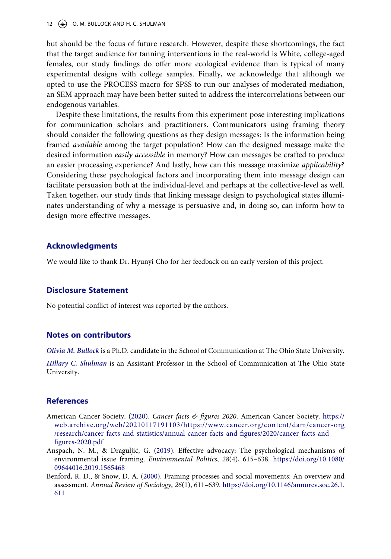but should be the focus of future research. However, despite these shortcomings, the fact that the target audience for tanning interventions in the real-world is White, college-aged females, our study findings do offer more ecological evidence than is typical of many experimental designs with college samples. Finally, we acknowledge that although we opted to use the PROCESS macro for SPSS to run our analyses of moderated mediation, an SEM approach may have been better suited to address the intercorrelations between our endogenous variables.

Despite these limitations, the results from this experiment pose interesting implications for communication scholars and practitioners. Communicators using framing theory should consider the following questions as they design messages: Is the information being framed *available* among the target population? How can the designed message make the desired information *easily accessible* in memory? How can messages be crafted to produce an easier processing experience? And lastly, how can this message maximize *applicability*? Considering these psychological factors and incorporating them into message design can facilitate persuasion both at the individual-level and perhaps at the collective-level as well. Taken together, our study finds that linking message design to psychological states illuminates understanding of why a message is persuasive and, in doing so, can inform how to design more effective messages.

# **Acknowledgments**

We would like to thank Dr. Hyunyi Cho for her feedback on an early version of this project.

#### **Disclosure Statement**

No potential conflict of interest was reported by the authors.

#### **Notes on contributors**

*Olivia M. Bullock* is a Ph.D. candidate in the School of Communication at The Ohio State University.

*Hillary C. Shulman* is an Assistant Professor in the School of Communication at The Ohio State University.

#### **References**

- <span id="page-12-0"></span>American Cancer Society. ([2020](#page-1-0)). *Cancer facts & figures 2020*. American Cancer Society. [https://](https://web.archive.org/web/20210117191103/https://www.cancer.org/content/dam/cancer-org/research/cancer-facts-and-statistics/annual-cancer-facts-and-figures/2020/cancer-facts-and-figures-2020.pdf) [web.archive.org/web/20210117191103/https://www.cancer.org/content/dam/cancer-org](https://web.archive.org/web/20210117191103/https://www.cancer.org/content/dam/cancer-org/research/cancer-facts-and-statistics/annual-cancer-facts-and-figures/2020/cancer-facts-and-figures-2020.pdf)  [/research/cancer-facts-and-statistics/annual-cancer-facts-and-figures/2020/cancer-facts-and](https://web.archive.org/web/20210117191103/https://www.cancer.org/content/dam/cancer-org/research/cancer-facts-and-statistics/annual-cancer-facts-and-figures/2020/cancer-facts-and-figures-2020.pdf)[figures-2020.pdf](https://web.archive.org/web/20210117191103/https://www.cancer.org/content/dam/cancer-org/research/cancer-facts-and-statistics/annual-cancer-facts-and-figures/2020/cancer-facts-and-figures-2020.pdf)
- <span id="page-12-1"></span>Anspach, N. M., & Draguljić, G. ([2019\)](#page-3-1). Effective advocacy: The psychological mechanisms of environmental issue framing. *Environmental Politics*, *28*(4), 615–638. [https://doi.org/10.1080/](https://doi.org/10.1080/09644016.2019.1565468) [09644016.2019.1565468](https://doi.org/10.1080/09644016.2019.1565468)
- <span id="page-12-2"></span>Benford, R. D., & Snow, D. A. ([2000](#page-5-0)). Framing processes and social movements: An overview and assessment. *Annual Review of Sociology*, *26*(1), 611–639. [https://doi.org/10.1146/annurev.soc.26.1.](https://doi.org/10.1146/annurev.soc.26.1.611) [611](https://doi.org/10.1146/annurev.soc.26.1.611)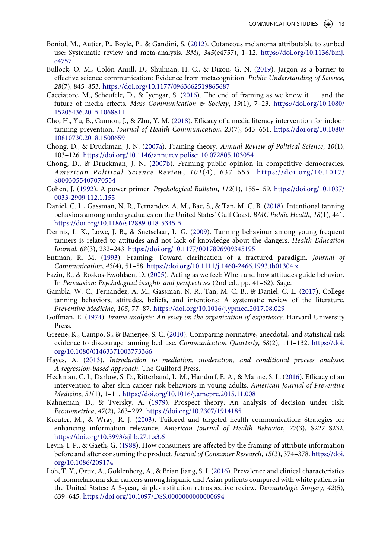- <span id="page-13-0"></span>Boniol, M., Autier, P., Boyle, P., & Gandini, S. [\(2012\)](#page-1-1). Cutaneous melanoma attributable to sunbed use: Systematic review and meta-analysis. *BMJ, 345*(e4757), 1–12. [https://doi.org/10.1136/bmj.](https://doi.org/10.1136/bmj.e4757) [e4757](https://doi.org/10.1136/bmj.e4757)
- <span id="page-13-13"></span>Bullock, O. M., Colón Amill, D., Shulman, H. C., & Dixon, G. N. ([2019](#page-4-0)). Jargon as a barrier to effective science communication: Evidence from metacognition. *Public Understanding of Science*, *28*(7), 845–853. <https://doi.org/10.1177/0963662519865687>
- <span id="page-13-7"></span>Cacciatore, M., Scheufele, D., & Iyengar, S. ([2016\)](#page-2-0). The end of framing as we know it . . . and the future of media effects. *Mass Communication & Society*, *19*(1), 7–23. [https://doi.org/10.1080/](https://doi.org/10.1080/15205436.2015.1068811) [15205436.2015.1068811](https://doi.org/10.1080/15205436.2015.1068811)
- <span id="page-13-1"></span>Cho, H., Yu, B., Cannon, J., & Zhu, Y. M. [\(2018](#page-1-2)). Efficacy of a media literacy intervention for indoor tanning prevention. *Journal of Health Communication*, *23*(7), 643–651. [https://doi.org/10.1080/](https://doi.org/10.1080/10810730.2018.1500659) [10810730.2018.1500659](https://doi.org/10.1080/10810730.2018.1500659)
- <span id="page-13-2"></span>Chong, D., & Druckman, J. N. ([2007a](#page-1-3)). Framing theory. *Annual Review of Political Science*, *10*(1), 103–126. <https://doi.org/10.1146/annurev.polisci.10.072805.103054>
- <span id="page-13-3"></span>Chong, D., & Druckman, J. N. ([2007b](#page-1-3)). Framing public opinion in competitive democracies. *American Political Science Review*, *101*(4), 637–655. [https://doi.org/10.1017/](https://doi.org/10.1017/S0003055407070554) [S0003055407070554](https://doi.org/10.1017/S0003055407070554)
- <span id="page-13-19"></span>Cohen, J. ([1992\)](#page-10-1). A power primer. *Psychological Bulletin*, *112*(1), 155–159. [https://doi.org/10.1037/](https://doi.org/10.1037/0033-2909.112.1.155) [0033-2909.112.1.155](https://doi.org/10.1037/0033-2909.112.1.155)
- <span id="page-13-15"></span>Daniel, C. L., Gassman, N. R., Fernandez, A. M., Bae, S., & Tan, M. C. B. [\(2018\)](#page-6-0). Intentional tanning behaviors among undergraduates on the United States' Gulf Coast. *BMC Public Health*, *18*(1), 441. <https://doi.org/10.1186/s12889-018-5345-5>
- <span id="page-13-11"></span>Dennis, L. K., Lowe, J. B., & Snetselaar, L. G. ([2009\)](#page-4-1). Tanning behaviour among young frequent tanners is related to attitudes and not lack of knowledge about the dangers. *Health Education Journal*, *68*(3), 232–243. <https://doi.org/10.1177/0017896909345195>
- <span id="page-13-8"></span>Entman, R. M. [\(1993\)](#page-2-1). Framing: Toward clarification of a fractured paradigm. *Journal of Communication*, *43*(4), 51–58. <https://doi.org/10.1111/j.1460-2466.1993.tb01304.x>
- <span id="page-13-12"></span>Fazio, R., & Roskos-Ewoldsen, D. ([2005\)](#page-4-2). Acting as we feel: When and how attitudes guide behavior. In *Persuasion: Psychological insights and perspectives* (2nd ed., pp. 41–62). Sage.
- <span id="page-13-4"></span>Gambla, W. C., Fernandez, A. M., Gassman, N. R., Tan, M. C. B., & Daniel, C. L. ([2017](#page-2-2)). College tanning behaviors, attitudes, beliefs, and intentions: A systematic review of the literature. *Preventive Medicine*, *105*, 77–87. <https://doi.org/10.1016/j.ypmed.2017.08.029>
- <span id="page-13-6"></span>Goffman, E. ([1974](#page-2-3)). *Frame analysis: An essay on the organization of experience*. Harvard University Press.
- <span id="page-13-17"></span>Greene, K., Campo, S., & Banerjee, S. C. [\(2010\)](#page-7-0). Comparing normative, anecdotal, and statistical risk evidence to discourage tanning bed use. *Communication Quarterly*, *58*(2), 111–132. [https://doi.](https://doi.org/10.1080/01463371003773366) [org/10.1080/01463371003773366](https://doi.org/10.1080/01463371003773366)
- <span id="page-13-18"></span>Hayes, A. ([2013\)](#page-8-1). *Introduction to mediation, moderation, and conditional process analysis: A regression-based approach*. The Guilford Press.
- <span id="page-13-5"></span>Heckman, C. J., Darlow, S. D., Ritterband, L. M., Handorf, E. A., & Manne, S. L. ([2016\)](#page-2-4). Efficacy of an intervention to alter skin cancer risk behaviors in young adults. *American Journal of Preventive Medicine*, *51*(1), 1–11. <https://doi.org/10.1016/j.amepre.2015.11.008>
- <span id="page-13-10"></span>Kahneman, D., & Tversky, A. [\(1979](#page-2-5)). Prospect theory: An analysis of decision under risk. *Econometrica*, *47*(2), 263–292. <https://doi.org/10.2307/1914185>
- <span id="page-13-14"></span>Kreuter, M., & Wray, R. J. ([2003\)](#page-5-1). Tailored and targeted health communication: Strategies for enhancing information relevance. *American Journal of Health Behavior*, *27*(3), S227–S232. <https://doi.org/10.5993/ajhb.27.1.s3.6>
- <span id="page-13-9"></span>Levin, I. P., & Gaeth, G. ([1988](#page-2-6)). How consumers are affected by the framing of attribute information before and after consuming the product. *Journal of Consumer Research*, *15*(3), 374–378. [https://doi.](https://doi.org/10.1086/209174) [org/10.1086/209174](https://doi.org/10.1086/209174)
- <span id="page-13-16"></span>Loh, T. Y., Ortiz, A., Goldenberg, A., & Brian Jiang, S. I. [\(2016\)](#page-6-1). Prevalence and clinical characteristics of nonmelanoma skin cancers among hispanic and Asian patients compared with white patients in the United States: A 5-year, single-institution retrospective review. *Dermatologic Surgery*, *42*(5), 639–645. <https://doi.org/10.1097/DSS.0000000000000694>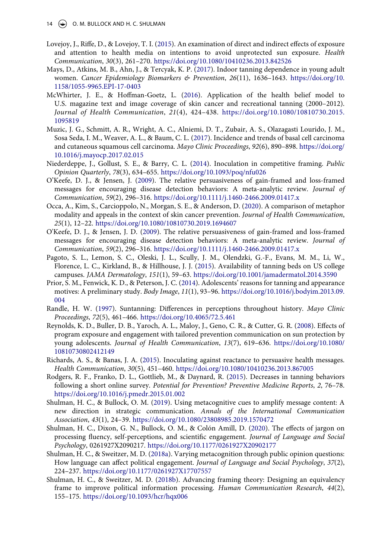- <span id="page-14-5"></span>Lovejoy, J., Riffe, D., & Lovejoy, T. I. ([2015](#page-1-4)). An examination of direct and indirect effects of exposure and attention to health media on intentions to avoid unprotected sun exposure. *Health Communication*, *30*(3), 261–270. <https://doi.org/10.1080/10410236.2013.842526>
- <span id="page-14-15"></span>Mays, D., Atkins, M. B., Ahn, J., & Tercyak, K. P. [\(2017\)](#page-7-1). Indoor tanning dependence in young adult women. *Cancer Epidemiology Biomarkers & Prevention*, *26*(11), 1636–1643. [https://doi.org/10.](https://doi.org/10.1158/1055-9965.EPI-17-0403) [1158/1055-9965.EPI-17-0403](https://doi.org/10.1158/1055-9965.EPI-17-0403)
- <span id="page-14-14"></span>McWhirter, J. E., & Hoffman-Goetz, L. ([2016](#page-5-2)). Application of the health belief model to U.S. magazine text and image coverage of skin cancer and recreational tanning (2000–2012). *Journal of Health Communication*, *21*(4), 424–438. [https://doi.org/10.1080/10810730.2015.](https://doi.org/10.1080/10810730.2015.1095819) [1095819](https://doi.org/10.1080/10810730.2015.1095819)
- <span id="page-14-0"></span>Muzic, J. G., Schmitt, A. R., Wright, A. C., Alniemi, D. T., Zubair, A. S., Olazagasti Lourido, J. M., Sosa Seda, I. M., Weaver, A. L., & Baum, C. L. ([2017\)](#page-1-5). Incidence and trends of basal cell carcinoma and cutaneous squamous cell carcinoma. *Mayo Clinic Proceedings*, *92*(6), 890–898. [https://doi.org/](https://doi.org/10.1016/j.mayocp.2017.02.015) [10.1016/j.mayocp.2017.02.015](https://doi.org/10.1016/j.mayocp.2017.02.015)
- <span id="page-14-9"></span>Niederdeppe, J., Gollust, S. E., & Barry, C. L. [\(2014\)](#page-2-7). Inoculation in competitive framing. *Public Opinion Quarterly*, *78*(3), 634–655. <https://doi.org/10.1093/poq/nfu026>
- <span id="page-14-10"></span>O'Keefe, D. J., & Jensen, J. ([2009\)](#page-3-2). The relative persuasiveness of gain-framed and loss-framed messages for encouraging disease detection behaviors: A meta-analytic review. *Journal of Communication*, *59*(2), 296–316. <https://doi.org/10.1111/j.1460-2466.2009.01417.x>
- <span id="page-14-4"></span>Occa, A., Kim, S., Carcioppolo, N., Morgan, S. E., & Anderson, D. [\(2020](#page-1-6)). A comparison of metaphor modality and appeals in the context of skin cancer prevention. *Journal of Health Communication*, *25*(1), 12–22. <https://doi.org/10.1080/10810730.2019.1694607>
- <span id="page-14-16"></span>O'Keefe, D. J., & Jensen, J. D. [\(2009](#page-10-2)). The relative persuasiveness of gain-framed and loss-framed messages for encouraging disease detection behaviors: A meta-analytic review. *Journal of Communication*, *59*(2), 296–316. <https://doi.org/10.1111/j.1460-2466.2009.01417.x>
- <span id="page-14-2"></span>Pagoto, S. L., Lemon, S. C., Oleski, J. L., Scully, J. M., Olendzki, G.-F., Evans, M. M., Li, W., Florence, L. C., Kirkland, B., & Hillhouse, J. J. ([2015\)](#page-1-7). Availability of tanning beds on US college campuses. *JAMA Dermatology*, *151*(1), 59–63. <https://doi.org/10.1001/jamadermatol.2014.3590>
- <span id="page-14-1"></span>Prior, S. M., Fenwick, K. D., & Peterson, J. C. ([2014](#page-1-8)). Adolescents' reasons for tanning and appearance motives: A preliminary study. *Body Image*, *11*(1), 93–96. [https://doi.org/10.1016/j.bodyim.2013.09.](https://doi.org/10.1016/j.bodyim.2013.09.004) [004](https://doi.org/10.1016/j.bodyim.2013.09.004)
- <span id="page-14-7"></span>Randle, H. W. [\(1997\)](#page-2-8). Suntanning: Differences in perceptions throughout history. *Mayo Clinic Proceedings*, *72*(5), 461–466. <https://doi.org/10.4065/72.5.461>
- <span id="page-14-3"></span>Reynolds, K. D., Buller, D. B., Yaroch, A. L., Maloy, J., Geno, C. R., & Cutter, G. R. ([2008](#page-1-6)). Effects of program exposure and engagement with tailored prevention communication on sun protection by young adolescents. *Journal of Health Communication*, *13*(7), 619–636. [https://doi.org/10.1080/](https://doi.org/10.1080/10810730802412149) [10810730802412149](https://doi.org/10.1080/10810730802412149)
- <span id="page-14-17"></span>Richards, A. S., & Banas, J. A. ([2015](#page-11-0)). Inoculating against reactance to persuasive health messages. *Health Communication*, *30*(5), 451–460. <https://doi.org/10.1080/10410236.2013.867005>
- <span id="page-14-6"></span>Rodgers, R. F., Franko, D. L., Gottlieb, M., & Daynard, R. [\(2015](#page-2-9)). Decreases in tanning behaviors following a short online survey. *Potential for Prevention? Preventive Medicine Reports*, *2*, 76–78. <https://doi.org/10.1016/j.pmedr.2015.01.002>
- <span id="page-14-11"></span>Shulman, H. C., & Bullock, O. M. ([2019](#page-4-3)). Using metacognitive cues to amplify message content: A new direction in strategic communication. *Annals of the International Communication Association*, *43*(1), 24–39. <https://doi.org/10.1080/23808985.2019.1570472>
- <span id="page-14-12"></span>Shulman, H. C., Dixon, G. N., Bullock, O. M., & Colón Amill, D. ([2020\)](#page-4-0). The effects of jargon on processing fluency, self-perceptions, and scientific engagement. *Journal of Language and Social Psychology*, 0261927X2090217. <https://doi.org/10.1177/0261927X20902177>
- <span id="page-14-13"></span>Shulman, H. C., & Sweitzer, M. D. ([2018a\)](#page-4-4). Varying metacognition through public opinion questions: How language can affect political engagement. *Journal of Language and Social Psychology*, *37*(2), 224–237. <https://doi.org/10.1177/0261927X17707557>
- <span id="page-14-8"></span>Shulman, H. C., & Sweitzer, M. D. ([2018b\)](#page-2-5). Advancing framing theory: Designing an equivalency frame to improve political information processing. *Human Communication Research*, *44*(2), 155–175. <https://doi.org/10.1093/hcr/hqx006>